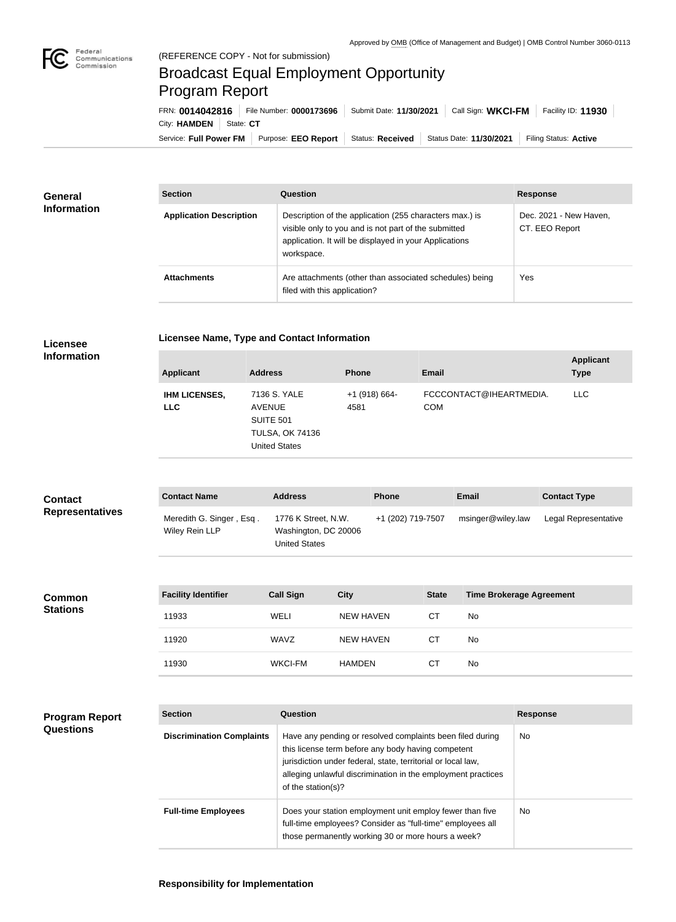

**Program Report** 

**Questions**

## Broadcast Equal Employment Opportunity Program Report

Service: Full Power FM | Purpose: EEO Report | Status: Received | Status Date: 11/30/2021 | Filing Status: Active City: HAMDEN | State: CT FRN: **0014042816** File Number: **0000173696** Submit Date: **11/30/2021** Call Sign: **WKCI-FM** Facility ID: **11930**

| <b>General</b><br><b>Information</b> | <b>Section</b>                 | Question                                                                                                                                                                                | <b>Response</b>                          |  |
|--------------------------------------|--------------------------------|-----------------------------------------------------------------------------------------------------------------------------------------------------------------------------------------|------------------------------------------|--|
|                                      | <b>Application Description</b> | Description of the application (255 characters max.) is<br>visible only to you and is not part of the submitted<br>application. It will be displayed in your Applications<br>workspace. | Dec. 2021 - New Haven,<br>CT. EEO Report |  |
|                                      | <b>Attachments</b>             | Are attachments (other than associated schedules) being<br>filed with this application?                                                                                                 | <b>Yes</b>                               |  |

| Licensee               | <b>Licensee Name, Type and Contact Information</b> |                                                                                                     |                       |              |                                 |                                 |  |
|------------------------|----------------------------------------------------|-----------------------------------------------------------------------------------------------------|-----------------------|--------------|---------------------------------|---------------------------------|--|
| <b>Information</b>     | <b>Applicant</b>                                   | <b>Address</b>                                                                                      | <b>Phone</b>          | <b>Email</b> |                                 | <b>Applicant</b><br><b>Type</b> |  |
|                        | <b>IHM LICENSES,</b><br><b>LLC</b>                 | 7136 S. YALE<br><b>AVENUE</b><br><b>SUITE 501</b><br><b>TULSA, OK 74136</b><br><b>United States</b> | +1 (918) 664-<br>4581 | <b>COM</b>   | FCCCONTACT@IHEARTMEDIA.         | <b>LLC</b>                      |  |
| <b>Contact</b>         | <b>Contact Name</b>                                | <b>Address</b>                                                                                      | <b>Phone</b>          |              | <b>Email</b>                    | <b>Contact Type</b>             |  |
| <b>Representatives</b> | Meredith G. Singer, Esq.<br>Wiley Rein LLP         | 1776 K Street, N.W.<br>Washington, DC 20006<br><b>United States</b>                                 | +1 (202) 719-7507     |              | msinger@wiley.law               | Legal Representative            |  |
|                        |                                                    |                                                                                                     |                       |              |                                 |                                 |  |
| <b>Common</b>          | <b>Facility Identifier</b>                         | <b>Call Sign</b>                                                                                    | <b>City</b>           | <b>State</b> | <b>Time Brokerage Agreement</b> |                                 |  |

| <b>Common</b><br><b>Stations</b> | <b>Facility Identifier</b> | <b>Call Sign</b> | <b>City</b>   | <b>State</b> | <b>Time Brokerage Agreement</b> |
|----------------------------------|----------------------------|------------------|---------------|--------------|---------------------------------|
|                                  | 11933                      | WELI             | NEW HAVEN     | <b>CT</b>    | No                              |
|                                  | 11920                      | WAVZ             | NEW HAVEN     | <b>CT</b>    | No                              |
|                                  | 11930                      | <b>WKCI-FM</b>   | <b>HAMDEN</b> | <b>CT</b>    | No                              |

| <b>Section</b>                   | Question                                                                                                                                                                                                                                                              | <b>Response</b> |
|----------------------------------|-----------------------------------------------------------------------------------------------------------------------------------------------------------------------------------------------------------------------------------------------------------------------|-----------------|
| <b>Discrimination Complaints</b> | Have any pending or resolved complaints been filed during<br>this license term before any body having competent<br>jurisdiction under federal, state, territorial or local law,<br>alleging unlawful discrimination in the employment practices<br>of the station(s)? | <b>No</b>       |
| <b>Full-time Employees</b>       | Does your station employment unit employ fewer than five<br>full-time employees? Consider as "full-time" employees all<br>those permanently working 30 or more hours a week?                                                                                          | No.             |